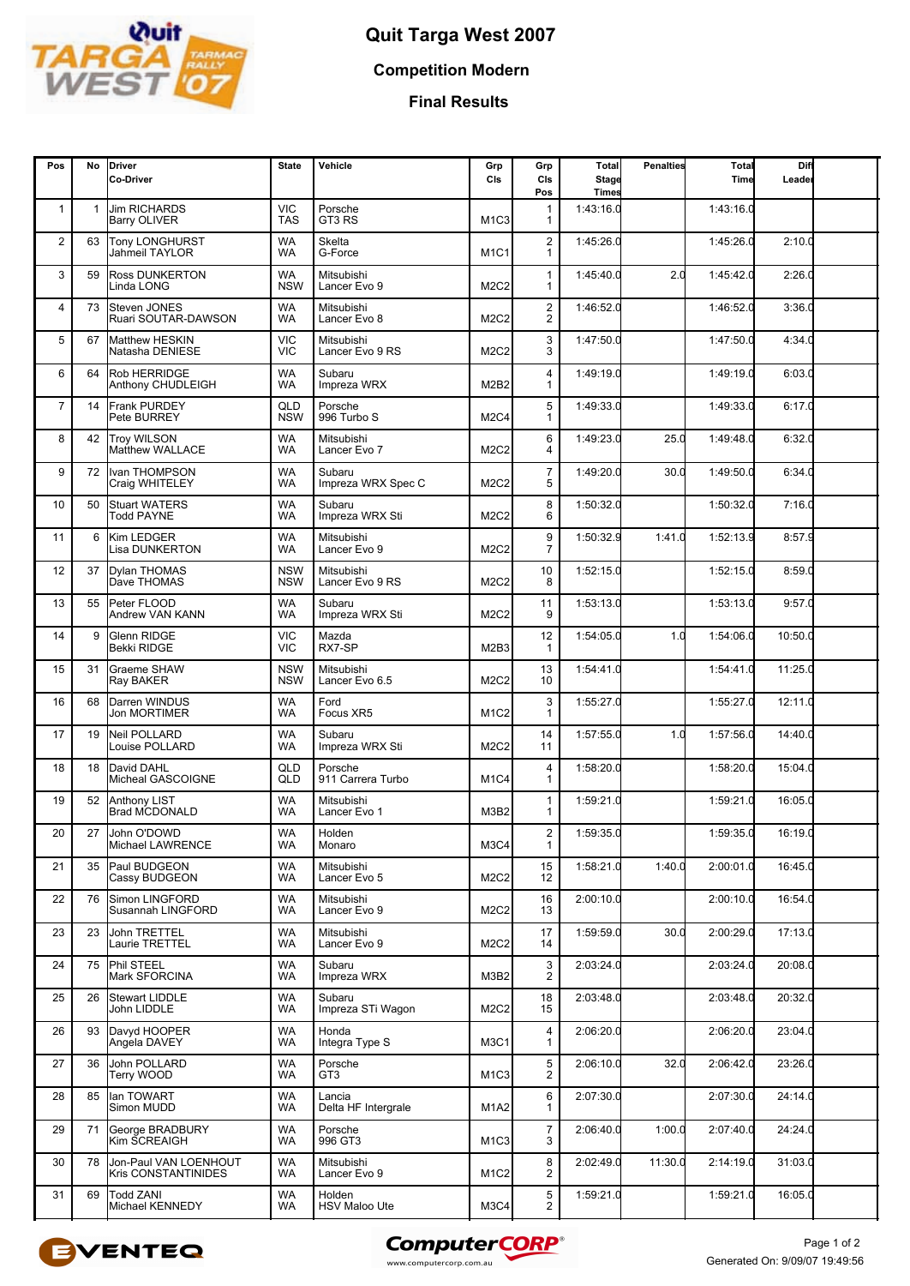

## **Quit Targa West 2007**

**Competition Modern**

**Final Results**

| Pos            | No           | <b>Driver</b><br>Co-Driver                   | <b>State</b>             | Vehicle                        | Grp<br>CIs                    | Grp<br>CIs<br>Pos                         | Total<br><b>Stage</b><br><b>Times</b> | <b>Penalties</b> | Total<br>Time | Diff<br>Leader |  |
|----------------|--------------|----------------------------------------------|--------------------------|--------------------------------|-------------------------------|-------------------------------------------|---------------------------------------|------------------|---------------|----------------|--|
| $\mathbf{1}$   | $\mathbf{1}$ | <b>Jim RICHARDS</b><br><b>Barry OLIVER</b>   | <b>VIC</b><br><b>TAS</b> | Porsche<br>GT3 RS              | M <sub>1</sub> C <sub>3</sub> | 1<br>1                                    | 1:43:16.0                             |                  | 1:43:16.0     |                |  |
| 2              | 63           | <b>Tony LONGHURST</b><br>Jahmeil TAYLOR      | WA<br>WA                 | Skelta<br>G-Force              | M <sub>1</sub> C <sub>1</sub> | $\overline{2}$<br>$\mathbf{1}$            | 1:45:26.0                             |                  | 1:45:26.0     | 2:10.0         |  |
| 3              | 59           | <b>Ross DUNKERTON</b><br>Linda LONG          | WA<br><b>NSW</b>         | Mitsubishi<br>Lancer Evo 9     | M2C2                          | $\mathbf{1}$<br>1                         | 1:45:40.0                             | 2.0              | 1:45:42.0     | 2:26.0         |  |
| 4              | 73           | Steven JONES<br>Ruari SOUTAR-DAWSON          | WA<br><b>WA</b>          | Mitsubishi<br>Lancer Evo 8     | <b>M2C2</b>                   | $\overline{\mathbf{c}}$<br>$\overline{2}$ | 1:46:52.0                             |                  | 1:46:52.0     | 3:36.0         |  |
| 5              | 67           | Matthew HESKIN<br>Natasha DENIESE            | <b>VIC</b><br><b>VIC</b> | Mitsubishi<br>Lancer Evo 9 RS  | <b>M2C2</b>                   | 3<br>3                                    | 1:47:50.0                             |                  | 1:47:50.0     | 4:34.0         |  |
| 6              | 64           | <b>Rob HERRIDGE</b><br>Anthony CHUDLEIGH     | WA<br>WA                 | Subaru<br>Impreza WRX          | M2B2                          | 4<br>1                                    | 1:49:19.0                             |                  | 1:49:19.0     | 6:03.0         |  |
| $\overline{7}$ | 14           | <b>Frank PURDEY</b><br>Pete BURREY           | QLD<br><b>NSW</b>        | Porsche<br>996 Turbo S         | <b>M2C4</b>                   | 5<br>1                                    | 1:49:33.0                             |                  | 1:49:33.0     | 6:17.0         |  |
| 8              | 42           | <b>Troy WILSON</b><br>Matthew WALLACE        | WA<br>WA                 | Mitsubishi<br>Lancer Evo 7     | M2C2                          | 6<br>4                                    | 1:49:23.0                             | 25.0             | 1:49:48.0     | 6:32.0         |  |
| 9              | 72           | Ivan THOMPSON<br>Craig WHITELEY              | WA<br>WA                 | Subaru<br>Impreza WRX Spec C   | M2C2                          | $\overline{7}$<br>5                       | 1:49:20.0                             | 30.0             | 1:49:50.0     | 6:34.0         |  |
| 10             | 50           | <b>Stuart WATERS</b><br><b>Todd PAYNE</b>    | <b>WA</b><br><b>WA</b>   | Subaru<br>Impreza WRX Sti      | <b>M2C2</b>                   | 8<br>6                                    | 1:50:32.0                             |                  | 1:50:32.0     | 7:16.0         |  |
| 11             | 6            | <b>Kim LEDGER</b><br>Lisa DUNKERTON          | WA<br>WA                 | Mitsubishi<br>Lancer Evo 9     | M2C2                          | 9<br>$\overline{7}$                       | 1:50:32.9                             | 1:41.0           | 1:52:13.9     | 8:57.9         |  |
| 12             | 37           | <b>Dvlan THOMAS</b><br>Dave THOMAS           | <b>NSW</b><br><b>NSW</b> | Mitsubishi<br>Lancer Evo 9 RS  | <b>M2C2</b>                   | 10<br>8                                   | 1:52:15.0                             |                  | 1:52:15.0     | 8:59.0         |  |
| 13             | 55           | Peter FLOOD<br><b>Andrew VAN KANN</b>        | <b>WA</b><br><b>WA</b>   | Subaru<br>Impreza WRX Sti      | <b>M2C2</b>                   | 11<br>9                                   | 1:53:13.0                             |                  | 1:53:13.0     | 9:57.0         |  |
| 14             | 9            | Glenn RIDGE<br>Bekki RIDGE                   | <b>VIC</b><br><b>VIC</b> | Mazda<br>RX7-SP                | M2B3                          | 12<br>$\mathbf{1}$                        | 1:54:05.0                             | 1.0              | 1:54:06.0     | 10:50.0        |  |
| 15             | 31           | <b>Graeme SHAW</b><br>Ray BAKER              | <b>NSW</b><br><b>NSW</b> | Mitsubishi<br>Lancer Evo 6.5   | M2C2                          | 13<br>10                                  | 1:54:41.0                             |                  | 1:54:41.0     | 11:25.0        |  |
| 16             | 68           | Darren WINDUS<br><b>Jon MORTIMER</b>         | WA<br>WA                 | Ford<br>Focus XR5              | <b>M1C2</b>                   | 3<br>1                                    | 1:55:27.0                             |                  | 1:55:27.0     | 12:11.0        |  |
| 17             | 19           | <b>Neil POLLARD</b><br>Louise POLLARD        | WA<br>WA                 | Subaru<br>Impreza WRX Sti      | M2C2                          | 14<br>11                                  | 1:57:55.0                             | 1.0              | 1:57:56.0     | 14:40.0        |  |
| 18             | 18           | David DAHL<br>Micheal GASCOIGNE              | QLD<br>QLD               | Porsche<br>911 Carrera Turbo   | M <sub>1</sub> C <sub>4</sub> | 4<br>1                                    | 1:58:20.0                             |                  | 1:58:20.0     | 15:04.0        |  |
| 19             | 52           | <b>Anthony LIST</b><br><b>Brad MCDONALD</b>  | WA<br><b>WA</b>          | Mitsubishi<br>Lancer Evo 1     | M3B2                          | 1<br>1                                    | 1:59:21.0                             |                  | 1:59:21.0     | 16:05.0        |  |
| 20             | 27           | John O'DOWD<br>Michael LAWRENCE              | WA<br>WA                 | Holden<br><b>Monaro</b>        | M3C4                          | $\overline{c}$<br>1                       | 1:59:35.0                             |                  | 1:59:35.0     | 16:19.0        |  |
| 21             | 35           | Paul BUDGEON<br>Cassy BUDGEON                | WA<br>WA                 | Mitsubishi<br>Lancer Evo 5     | M2C2                          | 15<br>12                                  | 1:58:21.0                             | 1:40.0           | 2:00:01.0     | 16:45.0        |  |
| 22             | 76           | Simon LINGFORD<br>Susannah LINGFORD          | WA<br>WA                 | Mitsubishi<br>Lancer Evo 9     | M2C2                          | 16<br>13                                  | 2:00:10.0                             |                  | 2:00:10.0     | 16:54.0        |  |
| 23             | 23           | <b>John TRETTEL</b><br>Laurie TRETTEL        | WA<br>WA                 | Mitsubishi<br>Lancer Evo 9     | M <sub>2</sub> C <sub>2</sub> | 17<br>14                                  | 1:59:59.0                             | 30.0             | 2:00:29.0     | 17:13.0        |  |
| 24             | 75           | Phil STEEL<br>Mark SFORCINA                  | WA<br>WA                 | Subaru<br>Impreza WRX          | M3B2                          | 3<br>2                                    | 2:03:24.0                             |                  | 2:03:24.0     | 20:08.0        |  |
| 25             | 26           | <b>Stewart LIDDLE</b><br>John LIDDLE         | WA<br>WA                 | Subaru<br>Impreza STi Wagon    | M2C2                          | 18<br>15                                  | 2:03:48.0                             |                  | 2:03:48.0     | 20:32.0        |  |
| 26             | 93           | Davyd HOOPER<br>Angela DAVEY                 | WA<br>WA                 | Honda<br>Integra Type S        | M3C1                          | 4<br>1                                    | 2:06:20.0                             |                  | 2:06:20.0     | 23:04.0        |  |
| 27             | 36           | John POLLARD<br>Terry WOOD                   | WA<br>WA                 | Porsche<br>GT3                 | M <sub>1C3</sub>              | 5<br>$\overline{c}$                       | 2:06:10.0                             | 32.0             | 2:06:42.0     | 23:26.0        |  |
| 28             | 85           | lan TOWART<br>Simon MUDD                     | WA<br>WA                 | Lancia<br>Delta HF Intergrale  | M <sub>1</sub> A <sub>2</sub> | 6<br>1                                    | 2:07:30.0                             |                  | 2:07:30.0     | 24:14.0        |  |
| 29             | 71           | George BRADBURY<br>Kim SCREAIGH              | WA<br>WA                 | Porsche<br>996 GT3             | M <sub>1C3</sub>              | $\overline{7}$<br>3                       | 2:06:40.0                             | 1:00.0           | 2:07:40.0     | 24:24.0        |  |
| 30             | 78           | Jon-Paul VAN LOENHOUT<br>Kris CONSTANTINIDES | WA<br>WA                 | Mitsubishi<br>Lancer Evo 9     | M <sub>1</sub> C <sub>2</sub> | 8<br>2                                    | 2:02:49.0                             | 11:30.0          | 2:14:19.0     | 31:03.0        |  |
| 31             | 69           | <b>Todd ZANI</b><br>Michael KENNEDY          | WA<br>WA                 | Holden<br><b>HSV Maloo Ute</b> | M3C4                          | $\frac{5}{2}$                             | 1:59:21.0                             |                  | 1:59:21.0     | 16:05.0        |  |